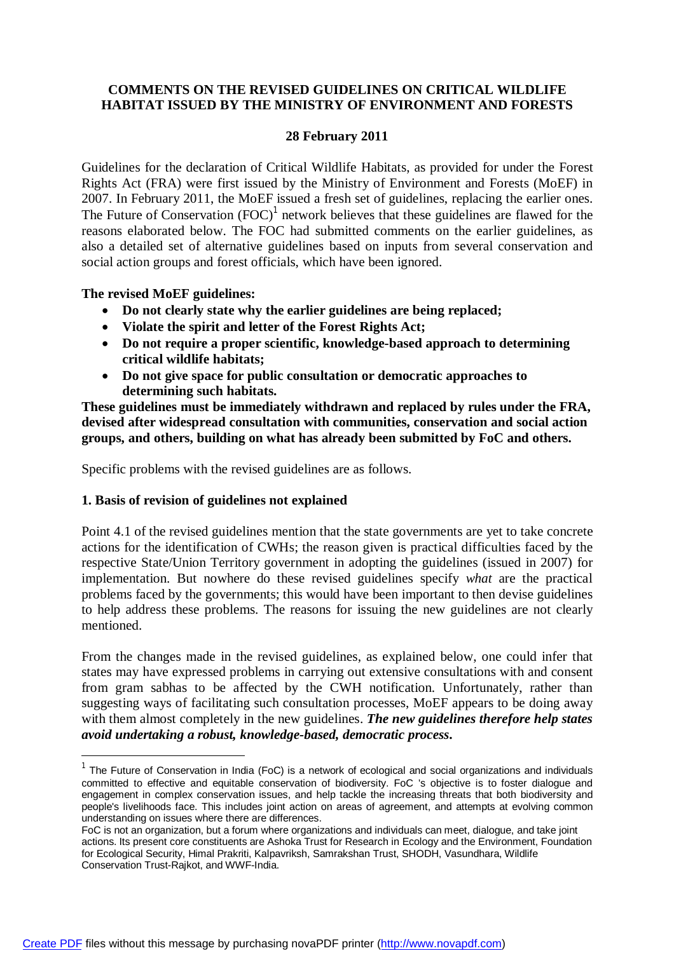## **COMMENTS ON THE REVISED GUIDELINES ON CRITICAL WILDLIFE HABITAT ISSUED BY THE MINISTRY OF ENVIRONMENT AND FORESTS**

### **28 February 2011**

Guidelines for the declaration of Critical Wildlife Habitats, as provided for under the Forest Rights Act (FRA) were first issued by the Ministry of Environment and Forests (MoEF) in 2007. In February 2011, the MoEF issued a fresh set of guidelines, replacing the earlier ones. The Future of Conservation  $(FOC)^1$  network believes that these guidelines are flawed for the reasons elaborated below. The FOC had submitted comments on the earlier guidelines, as also a detailed set of alternative guidelines based on inputs from several conservation and social action groups and forest officials, which have been ignored.

### **The revised MoEF guidelines:**

 $\overline{\phantom{a}}$ 

- **Do not clearly state why the earlier guidelines are being replaced;**
- **Violate the spirit and letter of the Forest Rights Act;**
- **Do not require a proper scientific, knowledge-based approach to determining critical wildlife habitats;**
- **Do not give space for public consultation or democratic approaches to determining such habitats.**

**These guidelines must be immediately withdrawn and replaced by rules under the FRA, devised after widespread consultation with communities, conservation and social action groups, and others, building on what has already been submitted by FoC and others.** 

Specific problems with the revised guidelines are as follows.

# **1. Basis of revision of guidelines not explained**

Point 4.1 of the revised guidelines mention that the state governments are yet to take concrete actions for the identification of CWHs; the reason given is practical difficulties faced by the respective State/Union Territory government in adopting the guidelines (issued in 2007) for implementation. But nowhere do these revised guidelines specify *what* are the practical problems faced by the governments; this would have been important to then devise guidelines to help address these problems. The reasons for issuing the new guidelines are not clearly mentioned.

From the changes made in the revised guidelines, as explained below, one could infer that states may have expressed problems in carrying out extensive consultations with and consent from gram sabhas to be affected by the CWH notification. Unfortunately, rather than suggesting ways of facilitating such consultation processes, MoEF appears to be doing away with them almost completely in the new guidelines. *The new guidelines therefore help states avoid undertaking a robust, knowledge-based, democratic process***.**

<sup>&</sup>lt;sup>1</sup> The Future of Conservation in India (FoC) is a network of ecological and social organizations and individuals committed to effective and equitable conservation of biodiversity. FoC 's objective is to foster dialogue and engagement in complex conservation issues, and help tackle the increasing threats that both biodiversity and people's livelihoods face. This includes joint action on areas of agreement, and attempts at evolving common understanding on issues where there are differences.

FoC is not an organization, but a forum where organizations and individuals can meet, dialogue, and take joint actions. Its present core constituents are Ashoka Trust for Research in Ecology and the Environment, Foundation for Ecological Security, Himal Prakriti, Kalpavriksh, Samrakshan Trust, SHODH, Vasundhara, Wildlife Conservation Trust-Rajkot, and WWF-India.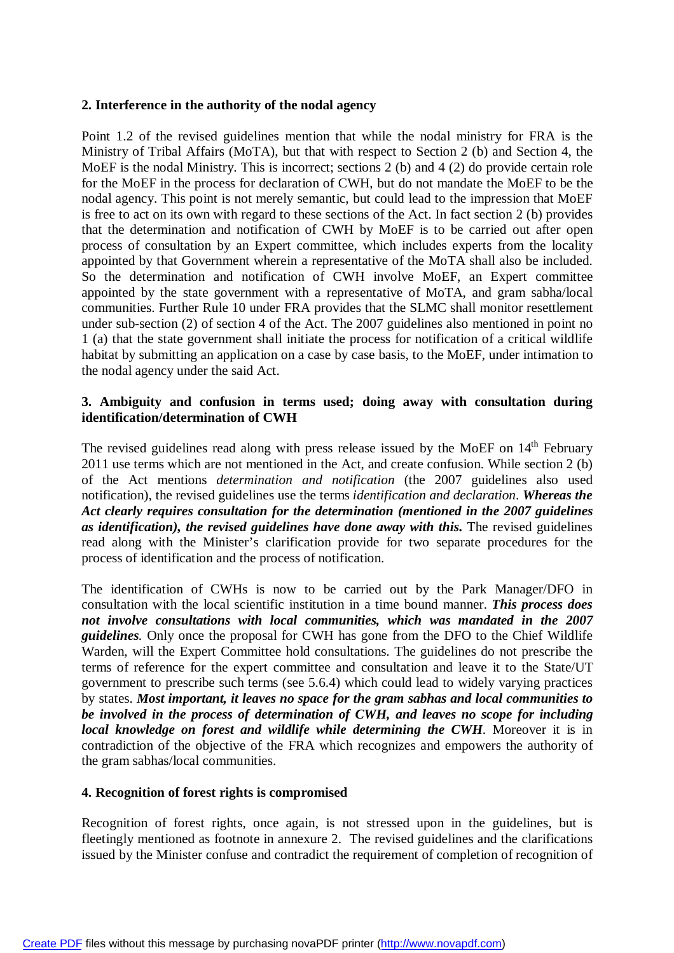### **2. Interference in the authority of the nodal agency**

Point 1.2 of the revised guidelines mention that while the nodal ministry for FRA is the Ministry of Tribal Affairs (MoTA), but that with respect to Section 2 (b) and Section 4, the MoEF is the nodal Ministry. This is incorrect; sections 2 (b) and 4 (2) do provide certain role for the MoEF in the process for declaration of CWH, but do not mandate the MoEF to be the nodal agency. This point is not merely semantic, but could lead to the impression that MoEF is free to act on its own with regard to these sections of the Act. In fact section 2 (b) provides that the determination and notification of CWH by MoEF is to be carried out after open process of consultation by an Expert committee, which includes experts from the locality appointed by that Government wherein a representative of the MoTA shall also be included. So the determination and notification of CWH involve MoEF, an Expert committee appointed by the state government with a representative of MoTA, and gram sabha/local communities. Further Rule 10 under FRA provides that the SLMC shall monitor resettlement under sub-section (2) of section 4 of the Act. The 2007 guidelines also mentioned in point no 1 (a) that the state government shall initiate the process for notification of a critical wildlife habitat by submitting an application on a case by case basis, to the MoEF, under intimation to the nodal agency under the said Act.

### **3. Ambiguity and confusion in terms used; doing away with consultation during identification/determination of CWH**

The revised guidelines read along with press release issued by the MoEF on  $14<sup>th</sup>$  February 2011 use terms which are not mentioned in the Act, and create confusion. While section 2 (b) of the Act mentions *determination and notification* (the 2007 guidelines also used notification), the revised guidelines use the terms *identification and declaration*. *Whereas the Act clearly requires consultation for the determination (mentioned in the 2007 guidelines as identification), the revised guidelines have done away with this***.** The revised guidelines read along with the Minister's clarification provide for two separate procedures for the process of identification and the process of notification.

The identification of CWHs is now to be carried out by the Park Manager/DFO in consultation with the local scientific institution in a time bound manner. *This process does*  not involve consultations with local communities, which was mandated in the 2007 *guidelines.* Only once the proposal for CWH has gone from the DFO to the Chief Wildlife Warden, will the Expert Committee hold consultations. The guidelines do not prescribe the terms of reference for the expert committee and consultation and leave it to the State/UT government to prescribe such terms (see 5.6.4) which could lead to widely varying practices by states. *Most important, it leaves no space for the gram sabhas and local communities to be involved in the process of determination of CWH, and leaves no scope for including local knowledge on forest and wildlife while determining the CWH*. Moreover it is in contradiction of the objective of the FRA which recognizes and empowers the authority of the gram sabhas/local communities.

### **4. Recognition of forest rights is compromised**

Recognition of forest rights, once again, is not stressed upon in the guidelines, but is fleetingly mentioned as footnote in annexure 2. The revised guidelines and the clarifications issued by the Minister confuse and contradict the requirement of completion of recognition of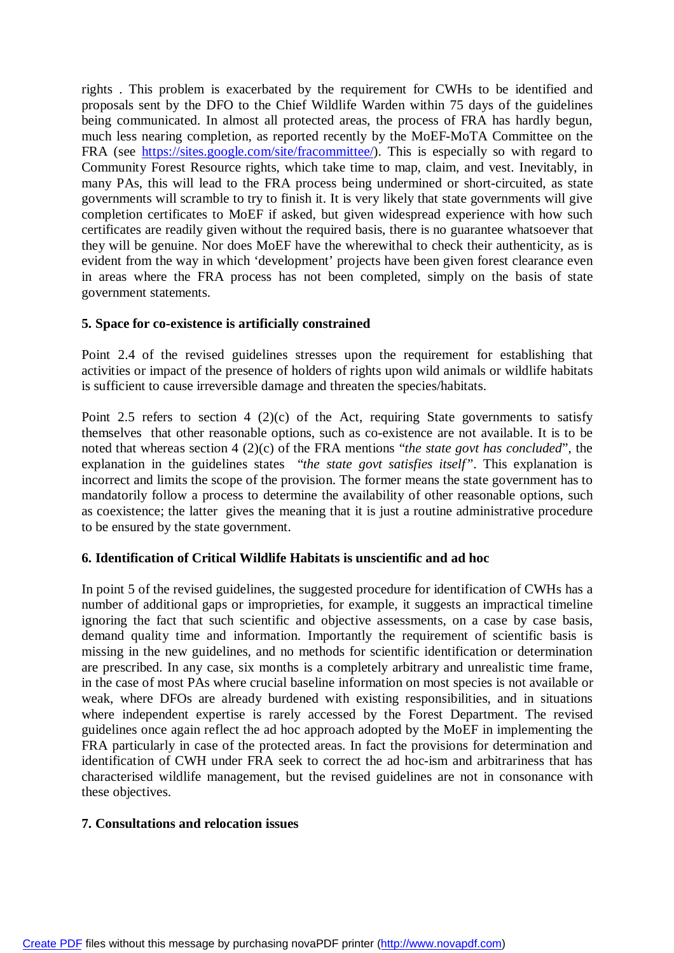rights . This problem is exacerbated by the requirement for CWHs to be identified and proposals sent by the DFO to the Chief Wildlife Warden within 75 days of the guidelines being communicated. In almost all protected areas, the process of FRA has hardly begun, much less nearing completion, as reported recently by the MoEF-MoTA Committee on the FRA (see [https://sites.google.com/site/fracommittee/\).](https://sites.google.com/site/fracommittee/).) This is especially so with regard to Community Forest Resource rights, which take time to map, claim, and vest. Inevitably, in many PAs, this will lead to the FRA process being undermined or short-circuited, as state governments will scramble to try to finish it. It is very likely that state governments will give completion certificates to MoEF if asked, but given widespread experience with how such certificates are readily given without the required basis, there is no guarantee whatsoever that they will be genuine. Nor does MoEF have the wherewithal to check their authenticity, as is evident from the way in which 'development' projects have been given forest clearance even in areas where the FRA process has not been completed, simply on the basis of state government statements.

# **5. Space for co-existence is artificially constrained**

Point 2.4 of the revised guidelines stresses upon the requirement for establishing that activities or impact of the presence of holders of rights upon wild animals or wildlife habitats is sufficient to cause irreversible damage and threaten the species/habitats.

Point 2.5 refers to section 4 (2)(c) of the Act, requiring State governments to satisfy themselves that other reasonable options, such as co-existence are not available. It is to be noted that whereas section 4 (2)(c) of the FRA mentions "*the state govt has concluded*", the explanation in the guidelines states "*the state govt satisfies itself"*. This explanation is incorrect and limits the scope of the provision. The former means the state government has to mandatorily follow a process to determine the availability of other reasonable options, such as coexistence; the latter gives the meaning that it is just a routine administrative procedure to be ensured by the state government.

### **6. Identification of Critical Wildlife Habitats is unscientific and ad hoc**

In point 5 of the revised guidelines, the suggested procedure for identification of CWHs has a number of additional gaps or improprieties, for example, it suggests an impractical timeline ignoring the fact that such scientific and objective assessments, on a case by case basis, demand quality time and information. Importantly the requirement of scientific basis is missing in the new guidelines, and no methods for scientific identification or determination are prescribed. In any case, six months is a completely arbitrary and unrealistic time frame, in the case of most PAs where crucial baseline information on most species is not available or weak, where DFOs are already burdened with existing responsibilities, and in situations where independent expertise is rarely accessed by the Forest Department. The revised guidelines once again reflect the ad hoc approach adopted by the MoEF in implementing the FRA particularly in case of the protected areas. In fact the provisions for determination and identification of CWH under FRA seek to correct the ad hoc-ism and arbitrariness that has characterised wildlife management, but the revised guidelines are not in consonance with these objectives.

### **7. Consultations and relocation issues**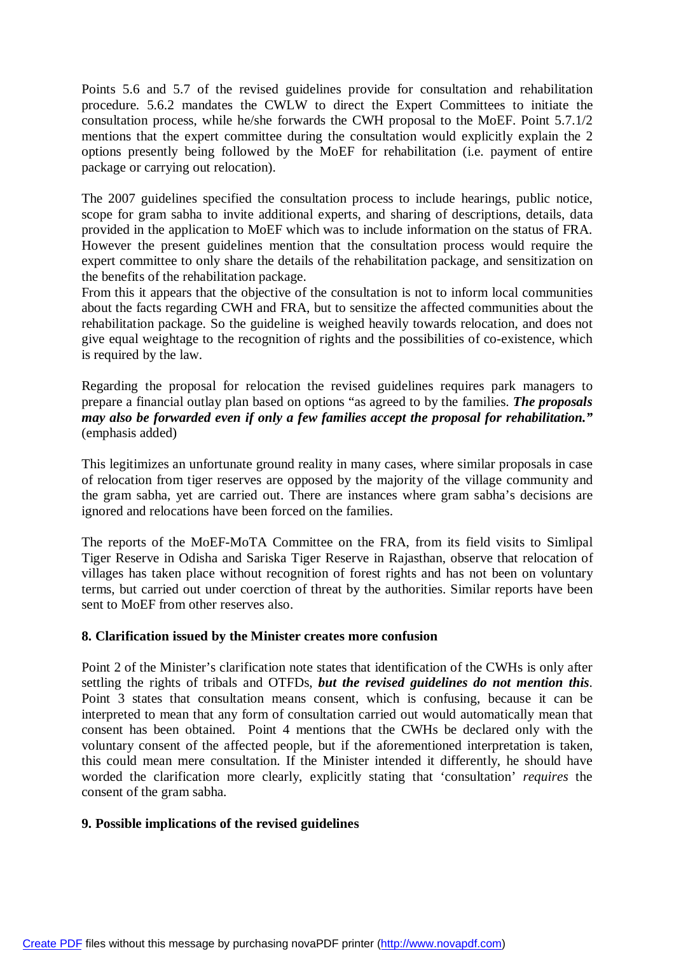Points 5.6 and 5.7 of the revised guidelines provide for consultation and rehabilitation procedure. 5.6.2 mandates the CWLW to direct the Expert Committees to initiate the consultation process, while he/she forwards the CWH proposal to the MoEF. Point 5.7.1/2 mentions that the expert committee during the consultation would explicitly explain the 2 options presently being followed by the MoEF for rehabilitation (i.e. payment of entire package or carrying out relocation).

The 2007 guidelines specified the consultation process to include hearings, public notice, scope for gram sabha to invite additional experts, and sharing of descriptions, details, data provided in the application to MoEF which was to include information on the status of FRA. However the present guidelines mention that the consultation process would require the expert committee to only share the details of the rehabilitation package, and sensitization on the benefits of the rehabilitation package.

From this it appears that the objective of the consultation is not to inform local communities about the facts regarding CWH and FRA, but to sensitize the affected communities about the rehabilitation package. So the guideline is weighed heavily towards relocation, and does not give equal weightage to the recognition of rights and the possibilities of co-existence, which is required by the law.

Regarding the proposal for relocation the revised guidelines requires park managers to prepare a financial outlay plan based on options "as agreed to by the families. *The proposals may also be forwarded even if only a few families accept the proposal for rehabilitation."* (emphasis added)

This legitimizes an unfortunate ground reality in many cases, where similar proposals in case of relocation from tiger reserves are opposed by the majority of the village community and the gram sabha, yet are carried out. There are instances where gram sabha's decisions are ignored and relocations have been forced on the families.

The reports of the MoEF-MoTA Committee on the FRA, from its field visits to Simlipal Tiger Reserve in Odisha and Sariska Tiger Reserve in Rajasthan, observe that relocation of villages has taken place without recognition of forest rights and has not been on voluntary terms, but carried out under coerction of threat by the authorities. Similar reports have been sent to MoEF from other reserves also.

### **8. Clarification issued by the Minister creates more confusion**

Point 2 of the Minister's clarification note states that identification of the CWHs is only after settling the rights of tribals and OTFDs, *but the revised guidelines do not mention this*. Point 3 states that consultation means consent, which is confusing, because it can be interpreted to mean that any form of consultation carried out would automatically mean that consent has been obtained. Point 4 mentions that the CWHs be declared only with the voluntary consent of the affected people, but if the aforementioned interpretation is taken, this could mean mere consultation. If the Minister intended it differently, he should have worded the clarification more clearly, explicitly stating that 'consultation' *requires* the consent of the gram sabha.

# **9. Possible implications of the revised guidelines**